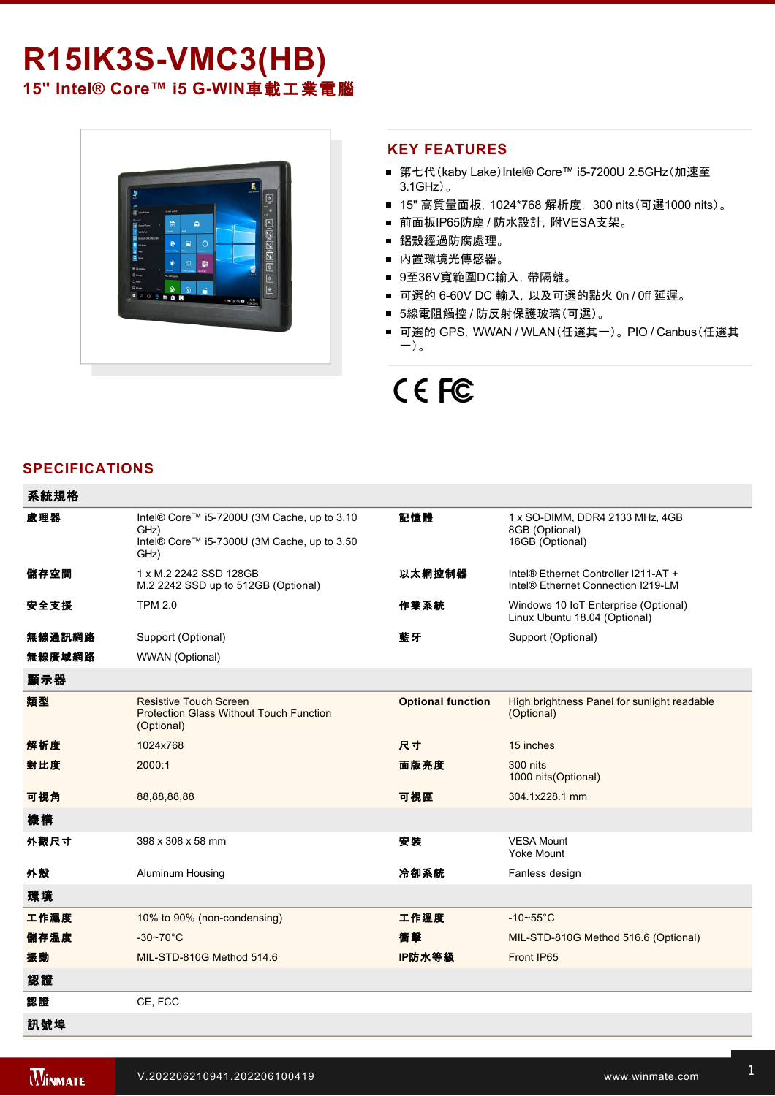# **R15IK3S-VMC3(HB)** 15" Intel® Core™ i5 G-WIN車載工業電腦



#### **KEY FEATURES**

- 第七代(kaby Lake)Intel® Core™ i5-7200U 2.5GHz(加速至 3.1GHz)。
- 15" 高質量面板, 1024\*768 解析度, 300 nits(可選1000 nits)。
- 前面板IP65防塵 / 防水設計, 附VESA支架。
- 鋁殼經過防腐處理。
- 內置環境光傳感器。
- 9至36V寬範圍DC輸入,帶隔離。
- 可選的 6-60V DC 輸入, 以及可選的點火 0n / 0ff 延遲。
- 5線電阻觸控 / 防反射保護玻璃(可選)。
- 可選的 GPS, WWAN / WLAN(任選其一)。 PIO / Canbus (任選其 一)。

# CE FC

# **SPECIFICATIONS**

| 系統規格   |                                                                                                            |                          |                                                                            |
|--------|------------------------------------------------------------------------------------------------------------|--------------------------|----------------------------------------------------------------------------|
| 處理器    | Intel® Core™ i5-7200U (3M Cache, up to 3.10<br>GHz)<br>Intel® Core™ i5-7300U (3M Cache, up to 3.50<br>GHz) | 記憶體                      | 1 x SO-DIMM, DDR4 2133 MHz, 4GB<br>8GB (Optional)<br>16GB (Optional)       |
| 儲存空間   | 1 x M.2 2242 SSD 128GB<br>M.2 2242 SSD up to 512GB (Optional)                                              | 以太網控制器                   | Intel® Ethernet Controller I211-AT +<br>Intel® Ethernet Connection I219-LM |
| 安全支援   | <b>TPM 2.0</b>                                                                                             | 作業系統                     | Windows 10 IoT Enterprise (Optional)<br>Linux Ubuntu 18.04 (Optional)      |
| 無線通訊網路 | Support (Optional)                                                                                         | 藍牙                       | Support (Optional)                                                         |
| 無線廣域網路 | WWAN (Optional)                                                                                            |                          |                                                                            |
| 顯示器    |                                                                                                            |                          |                                                                            |
| 類型     | <b>Resistive Touch Screen</b><br><b>Protection Glass Without Touch Function</b><br>(Optional)              | <b>Optional function</b> | High brightness Panel for sunlight readable<br>(Optional)                  |
| 解析度    | 1024x768                                                                                                   | 尺寸                       | 15 inches                                                                  |
| 對比度    | 2000:1                                                                                                     | 面版亮度                     | 300 nits<br>1000 nits(Optional)                                            |
| 可視角    | 88,88,88,88                                                                                                | 可視區                      | 304.1x228.1 mm                                                             |
| 機構     |                                                                                                            |                          |                                                                            |
| 外觀尺寸   | 398 x 308 x 58 mm                                                                                          | 安裝                       | <b>VESA Mount</b><br><b>Yoke Mount</b>                                     |
| 外殼     | Aluminum Housing                                                                                           | 冷卻系統                     | Fanless design                                                             |
| 環境     |                                                                                                            |                          |                                                                            |
| 工作濕度   | 10% to 90% (non-condensing)                                                                                | 工作溫度                     | $-10-55$ °C                                                                |
| 儲存溫度   | $-30 - 70^{\circ}$ C                                                                                       | 衝擊                       | MIL-STD-810G Method 516.6 (Optional)                                       |
| 振動     | MIL-STD-810G Method 514.6                                                                                  | IP防水等級                   | Front IP65                                                                 |
| 認證     |                                                                                                            |                          |                                                                            |
| 認證     | CE, FCC                                                                                                    |                          |                                                                            |
| 訊號埠    |                                                                                                            |                          |                                                                            |

 $\mathcal{L}$  and  $\mathcal{L}$  and  $\mathcal{L}$  for  $\mathcal{L}$  for  $\mathcal{L}$  for  $\mathcal{L}$  for  $\mathcal{L}$  and  $\mathcal{L}$  for  $\mathcal{L}$  and  $\mathcal{L}$  for  $\mathcal{L}$  for  $\mathcal{L}$  and  $\mathcal{L}$  for  $\mathcal{L}$  and  $\mathcal{L}$  and  $\mathcal{L}$  and  $\mathcal{L}$  and